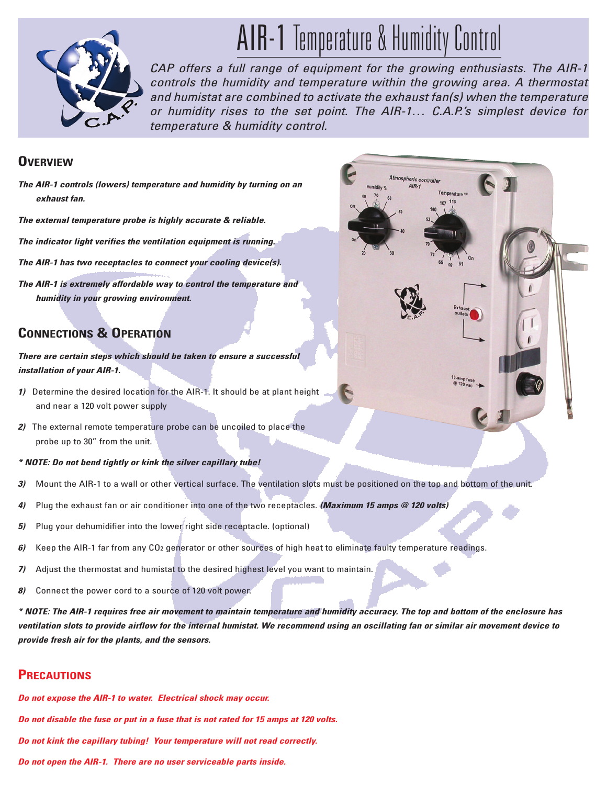

# AIR-1 Temperature & Humidity Control

*CAP offers a full range of equipment for the growing enthusiasts. The AIR-1 controls the humidity and temperature within the growing area. A thermostat and humistat are combined to activate the exhaust fan(s) when the temperature or humidity rises to the set point. The AIR-1… C.A.P.'s simplest device for temperature & humidity control.* 

#### **OVERVIEW**

- *The AIR-1 controls (lowers) temperature and humidity by turning on an exhaust fan.*
- *The external temperature probe is highly accurate & reliable.*
- *The indicator light verifies the ventilation equipment is running.*
- *The AIR-1 has two receptacles to connect your cooling device(s).*
- *The AIR-1 is extremely affordable way to control the temperature and humidity in your growing environment.*

## **CONNECTIONS & OPERATION**

*There are certain steps which should be taken to ensure a successful installation of your AIR-1.* 

- *1)* Determine the desired location for the AIR-1. It should be at plant height and near a 120 volt power supply
- *2)* The external remote temperature probe can be uncoiled to place the probe up to 30" from the unit.
- *\* NOTE: Do not bend tightly or kink the silver capillary tube!*
- *3)* Mount the AIR-1 to a wall or other vertical surface. The ventilation slots must be positioned on the top and bottom of the unit.
- *4)* Plug the exhaust fan or air conditioner into one of the two receptacles. *(Maximum 15 amps @ 120 volts)*
- *5)* Plug your dehumidifier into the lower right side receptacle. (optional)
- *6)* Keep the AIR-1 far from any CO2 generator or other sources of high heat to eliminate faulty temperature readings.
- *7)* Adjust the thermostat and humistat to the desired highest level you want to maintain.
- *8)* Connect the power cord to a source of 120 volt power.

*\* NOTE: The AIR-1 requires free air movement to maintain temperature and humidity accuracy. The top and bottom of the enclosure has ventilation slots to provide airflow for the internal humistat. We recommend using an oscillating fan or similar air movement device to provide fresh air for the plants, and the sensors.*

## **PRECAUTIONS**

*Do not expose the AIR-1 to water. Electrical shock may occur. Do not disable the fuse or put in a fuse that is not rated for 15 amps at 120 volts. Do not kink the capillary tubing! Your temperature will not read correctly. Do not open the AIR-1. There are no user serviceable parts inside.*